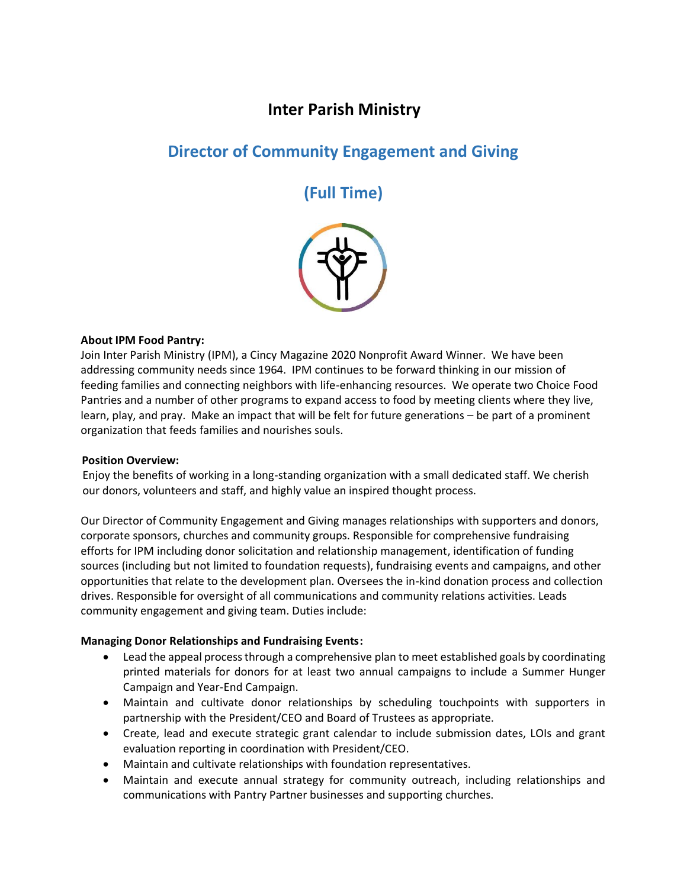## **Inter Parish Ministry**

# **Director of Community Engagement and Giving**

**(Full Time)**



## **About IPM Food Pantry:**

Join Inter Parish Ministry (IPM), a Cincy Magazine 2020 Nonprofit Award Winner. We have been addressing community needs since 1964. IPM continues to be forward thinking in our mission of feeding families and connecting neighbors with life-enhancing resources. We operate two Choice Food Pantries and a number of other programs to expand access to food by meeting clients where they live, learn, play, and pray. Make an impact that will be felt for future generations – be part of a prominent organization that feeds families and nourishes souls.

#### **Position Overview:**

Enjoy the benefits of working in a long-standing organization with a small dedicated staff. We cherish our donors, volunteers and staff, and highly value an inspired thought process.

Our Director of Community Engagement and Giving manages relationships with supporters and donors, corporate sponsors, churches and community groups. Responsible for comprehensive fundraising efforts for IPM including donor solicitation and relationship management, identification of funding sources (including but not limited to foundation requests), fundraising events and campaigns, and other opportunities that relate to the development plan. Oversees the in-kind donation process and collection drives. Responsible for oversight of all communications and community relations activities. Leads community engagement and giving team. Duties include:

## **Managing Donor Relationships and Fundraising Events:**

- Lead the appeal process through a comprehensive plan to meet established goals by coordinating printed materials for donors for at least two annual campaigns to include a Summer Hunger Campaign and Year-End Campaign.
- Maintain and cultivate donor relationships by scheduling touchpoints with supporters in partnership with the President/CEO and Board of Trustees as appropriate.
- Create, lead and execute strategic grant calendar to include submission dates, LOIs and grant evaluation reporting in coordination with President/CEO.
- Maintain and cultivate relationships with foundation representatives.
- Maintain and execute annual strategy for community outreach, including relationships and communications with Pantry Partner businesses and supporting churches.